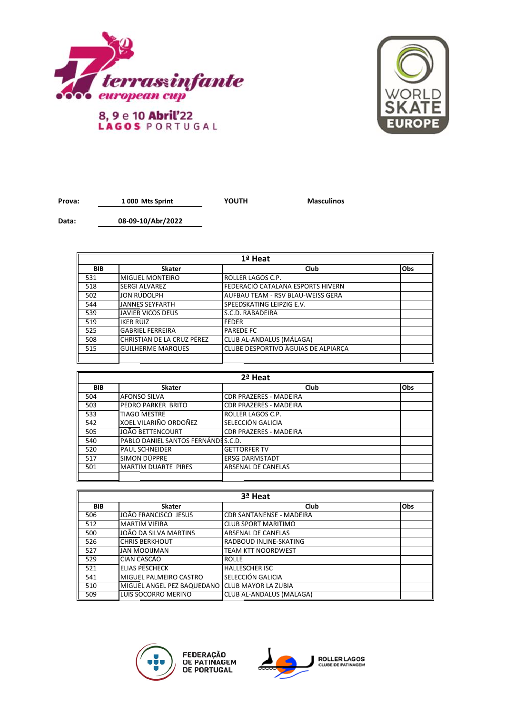



**Prova: YOUTH Masculinos 1 000 Mts Sprint**

**Data: 08-09-10/Abr/2022**

| $1a$ Heat  |                            |                                     |     |
|------------|----------------------------|-------------------------------------|-----|
| <b>BIB</b> | <b>Skater</b>              | Club                                | Obs |
| 531        | <b>MIGUEL MONTEIRO</b>     | ROLLER LAGOS C.P.                   |     |
| 518        | <b>SERGI ALVAREZ</b>       | FEDERACIÓ CATALANA ESPORTS HIVERN   |     |
| 502        | <b>JON RUDOLPH</b>         | AUFBAU TEAM - RSV BLAU-WEISS GERA   |     |
| 544        | <b>JANNES SEYFARTH</b>     | SPEEDSKATING LEIPZIG E.V.           |     |
| 539        | <b>JAVIER VICOS DEUS</b>   | S.C.D. RABADEIRA                    |     |
| 519        | <b>IKER RUIZ</b>           | <b>FEDER</b>                        |     |
| 525        | <b>GABRIEL FERREIRA</b>    | <b>PAREDE FC</b>                    |     |
| 508        | CHRISTIAN DE LA CRUZ PÉREZ | CLUB AL-ANDALUS (MÁLAGA)            |     |
| 515        | <b>GUILHERME MARQUES</b>   | CLUBE DESPORTIVO AGUIAS DE ALPIARCA |     |
|            |                            |                                     |     |

| 2ª Heat    |                                    |                               |            |
|------------|------------------------------------|-------------------------------|------------|
| <b>BIB</b> | <b>Skater</b>                      | Club                          | <b>Obs</b> |
| 504        | <b>AFONSO SILVA</b>                | <b>CDR PRAZERES - MADEIRA</b> |            |
| 503        | PEDRO PARKER BRITO                 | CDR PRAZERES - MADEIRA        |            |
| 533        | <b>TIAGO MESTRE</b>                | ROLLER LAGOS C.P.             |            |
| 542        | XOEL VILARIÑO ORDOÑEZ              | SELECCIÓN GALICIA             |            |
| 505        | JOÃO BETTENCOURT                   | <b>CDR PRAZERES - MADEIRA</b> |            |
| 540        | PABLO DANIEL SANTOS FERNÁNDES.C.D. |                               |            |
| 520        | <b>PAUL SCHNEIDER</b>              | <b>GETTORFER TV</b>           |            |
| 517        | SIMON DÜPPRE                       | <b>ERSG DARMSTADT</b>         |            |
| 501        | <b>MARTIM DUARTE PIRES</b>         | <b>ARSENAL DE CANELAS</b>     |            |
|            |                                    |                               |            |

| 3ª Heat    |                            |                                 |            |
|------------|----------------------------|---------------------------------|------------|
| <b>BIB</b> | <b>Skater</b>              | Club                            | <b>Obs</b> |
| 506        | JOÃO FRANCISCO JESUS       | <b>CDR SANTANENSE - MADEIRA</b> |            |
| 512        | <b>MARTIM VIEIRA</b>       | <b>CLUB SPORT MARITIMO</b>      |            |
| 500        | JOÃO DA SILVA MARTINS      | <b>ARSENAL DE CANELAS</b>       |            |
| 526        | <b>CHRIS BERKHOUT</b>      | <b>RADBOUD INLINE-SKATING</b>   |            |
| 527        | <b>JAN MOOIJMAN</b>        | <b>TEAM KTT NOORDWEST</b>       |            |
| 529        | CIAN CASCÃO                | <b>ROLLE</b>                    |            |
| 521        | <b>ELIAS PESCHECK</b>      | <b>HALLESCHER ISC</b>           |            |
| 541        | MIGUEL PALMEIRO CASTRO     | SELECCIÓN GALICIA               |            |
| 510        | MIGUEL ANGEL PEZ BAQUEDANO | <b>CLUB MAYOR LA ZUBIA</b>      |            |
| 509        | LUIS SOCORRO MERINO        | CLUB AL-ANDALUS (MÁLAGA)        |            |



FEDERAÇÃO<br>DE PATINAGEM<br>DE PORTUGAL